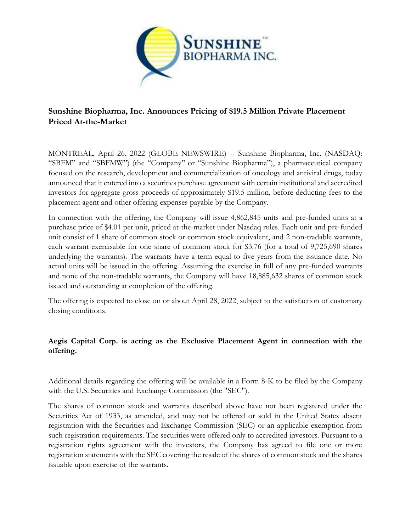

# **Sunshine Biopharma, Inc. Announces Pricing of \$19.5 Million Private Placement Priced At-the-Market**

MONTREAL, April 26, 2022 (GLOBE NEWSWIRE) -- Sunshine Biopharma, Inc. (NASDAQ: "SBFM" and "SBFMW") (the "Company" or "Sunshine Biopharma"), a pharmaceutical company focused on the research, development and commercialization of oncology and antiviral drugs, today announced that it entered into a securities purchase agreement with certain institutional and accredited investors for aggregate gross proceeds of approximately \$19.5 million, before deducting fees to the placement agent and other offering expenses payable by the Company.

In connection with the offering, the Company will issue 4,862,845 units and pre-funded units at a purchase price of \$4.01 per unit, priced at-the-market under Nasdaq rules. Each unit and pre-funded unit consist of 1 share of common stock or common stock equivalent, and 2 non-tradable warrants, each warrant exercisable for one share of common stock for \$3.76 (for a total of 9,725,690 shares underlying the warrants). The warrants have a term equal to five years from the issuance date. No actual units will be issued in the offering. Assuming the exercise in full of any pre-funded warrants and none of the non-tradable warrants, the Company will have 18,885,632 shares of common stock issued and outstanding at completion of the offering.

The offering is expected to close on or about April 28, 2022, subject to the satisfaction of customary closing conditions.

## **Aegis Capital Corp. is acting as the Exclusive Placement Agent in connection with the offering.**

Additional details regarding the offering will be available in a Form 8-K to be filed by the Company with the U.S. Securities and Exchange Commission (the "SEC").

The shares of common stock and warrants described above have not been registered under the Securities Act of 1933, as amended, and may not be offered or sold in the United States absent registration with the Securities and Exchange Commission (SEC) or an applicable exemption from such registration requirements. The securities were offered only to accredited investors. Pursuant to a registration rights agreement with the investors, the Company has agreed to file one or more registration statements with the SEC covering the resale of the shares of common stock and the shares issuable upon exercise of the warrants.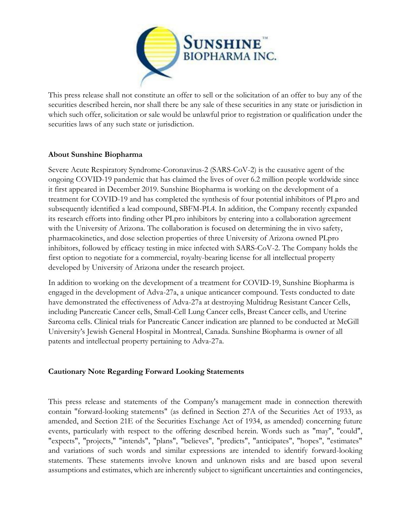

This press release shall not constitute an offer to sell or the solicitation of an offer to buy any of the securities described herein, nor shall there be any sale of these securities in any state or jurisdiction in which such offer, solicitation or sale would be unlawful prior to registration or qualification under the securities laws of any such state or jurisdiction.

### **About Sunshine Biopharma**

Severe Acute Respiratory Syndrome-Coronavirus-2 (SARS-CoV-2) is the causative agent of the ongoing COVID-19 pandemic that has claimed the lives of over 6.2 million people worldwide since it first appeared in December 2019. Sunshine Biopharma is working on the development of a treatment for COVID-19 and has completed the synthesis of four potential inhibitors of PLpro and subsequently identified a lead compound, SBFM-PL4. In addition, the Company recently expanded its research efforts into finding other PLpro inhibitors by entering into a collaboration agreement with the University of Arizona. The collaboration is focused on determining the in vivo safety, pharmacokinetics, and dose selection properties of three University of Arizona owned PLpro inhibitors, followed by efficacy testing in mice infected with SARS-CoV-2. The Company holds the first option to negotiate for a commercial, royalty-bearing license for all intellectual property developed by University of Arizona under the research project.

In addition to working on the development of a treatment for COVID-19, Sunshine Biopharma is engaged in the development of Adva-27a, a unique anticancer compound. Tests conducted to date have demonstrated the effectiveness of Adva-27a at destroying Multidrug Resistant Cancer Cells, including Pancreatic Cancer cells, Small-Cell Lung Cancer cells, Breast Cancer cells, and Uterine Sarcoma cells. Clinical trials for Pancreatic Cancer indication are planned to be conducted at McGill University's Jewish General Hospital in Montreal, Canada. Sunshine Biopharma is owner of all patents and intellectual property pertaining to Adva-27a.

#### **Cautionary Note Regarding Forward Looking Statements**

This press release and statements of the Company's management made in connection therewith contain "forward-looking statements" (as defined in Section 27A of the Securities Act of 1933, as amended, and Section 21E of the Securities Exchange Act of 1934, as amended) concerning future events, particularly with respect to the offering described herein. Words such as "may", "could", "expects", "projects," "intends", "plans", "believes", "predicts", "anticipates", "hopes", "estimates" and variations of such words and similar expressions are intended to identify forward-looking statements. These statements involve known and unknown risks and are based upon several assumptions and estimates, which are inherently subject to significant uncertainties and contingencies,